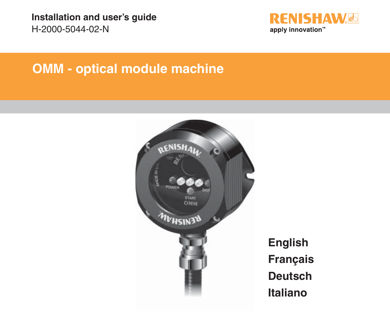

# **OMM - optical module machine**



**English Français Deutsch Italiano**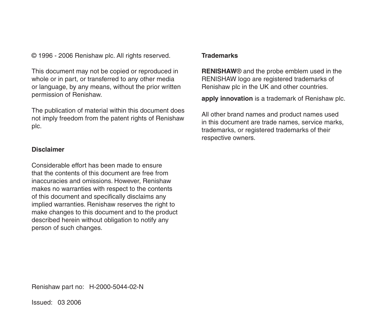© 1996 - 2006 Renishaw plc. All rights reserved.

This document may not be copied or reproduced in whole or in part, or transferred to any other media or language, by any means, without the prior written permission of Renishaw.

The publication of material within this document does not imply freedom from the patent rights of Renishaw plc.

#### **Disclaimer**

Considerable effort has been made to ensure that the contents of this document are free from inaccuracies and omissions. However, Renishaw makes no warranties with respect to the contents of this document and specifically disclaims any implied warranties. Renishaw reserves the right to make changes to this document and to the product described herein without obligation to notify any person of such changes.

#### **Trademarks**

**RENISHAW**® and the probe emblem used in the RENISHAW logo are registered trademarks of Renishaw plc in the UK and other countries.

**apply innovation** is a trademark of Renishaw plc.

All other brand names and product names used in this document are trade names, service marks, trademarks, or registered trademarks of their respective owners.

Renishaw part no: H-2000-5044-02-N

Issued: 03 2006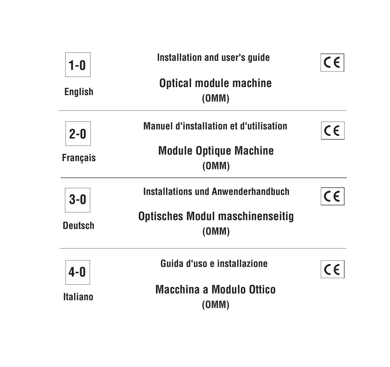| $1-0$           | Installation and user's guide                   |    |
|-----------------|-------------------------------------------------|----|
| <b>English</b>  | <b>Optical module machine</b><br>(OMM)          |    |
| $2 - 0$         | <b>Manuel d'installation et d'utilisation</b>   | CE |
| <b>Français</b> | <b>Module Optique Machine</b><br>(OMM)          |    |
| $3-0$           | <b>Installations und Anwenderhandbuch</b>       | CE |
| <b>Deutsch</b>  | <b>Optisches Modul maschinenseitig</b><br>(0MM) |    |
| $4-0$           | Guida d'uso e installazione                     | CE |
| <b>Italiano</b> | <b>Macchina a Modulo Ottico</b><br>(OMM)        |    |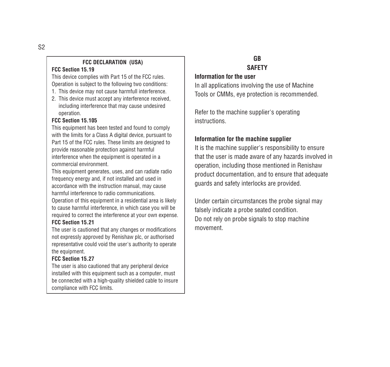#### **FCC DECLARATION (USA)**

#### **FCC Section 15.19**

This device complies with Part 15 of the FCC rules. Operation is subject to the following two conditions:

- 1. This device may not cause harmfull interference.
- 2. This device must accept any interference received, including interference that may cause undesired operation.

#### **FCC Section 15.105**

This equipment has been tested and found to comply with the limits for a Class A digital device, pursuant to Part 15 of the FCC rules. These limits are designed to provide reasonable protection against harmful interference when the equipment is operated in a commercial environment.

This equipment generates, uses, and can radiate radio frequency energy and, if not installed and used in accordance with the instruction manual, may cause harmful interference to radio communications.

Operation of this equipment in a residential area is likely to cause harmful interference, in which case you will be required to correct the interference at your own expense.

#### **FCC Section 15.21**

The user is cautioned that any changes or modifications not expressly approved by Renishaw plc, or authorised representative could void the user's authority to operate the equipment.

#### **FCC Section 15.27**

The user is also cautioned that any peripheral device installed with this equipment such as a computer, must be connected with a high-quality shielded cable to insure compliance with FCC limits.

# **GB SAFETY**

#### **Information for the user**

In all applications involving the use of Machine Tools or CMMs, eye protection is recommended.

Refer to the machine supplier's operating instructions.

#### **Information for the machine supplier**

It is the machine supplier's responsibility to ensure that the user is made aware of any hazards involved in operation, including those mentioned in Renishaw product documentation, and to ensure that adequate guards and safety interlocks are provided.

Under certain circumstances the probe signal may falsely indicate a probe seated condition. Do not rely on probe signals to stop machine movement.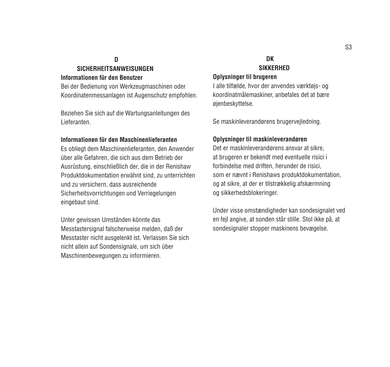## **D**

# **SICHERHEITSANWEISUNGEN**

### **Informationen für den Benutzer**

Bei der Bedienung von Werkzeugmaschinen oder Koordinatenmessanlagen ist Augenschutz empfohlen.

Beziehen Sie sich auf die Wartungsanleitungen des Lieferanten.

#### **Informationen für den Maschinenlieferanten**

Es obliegt dem Maschinenlieferanten, den Anwender über alle Gefahren, die sich aus dem Betrieb der Ausrüstung, einschließlich der, die in der Renishaw Produktdokumentation erwähnt sind, zu unterrichten und zu versichern, dass ausreichende Sicherheitsvorrichtungen und Verriegelungen eingebaut sind.

Unter gewissen Umständen könnte das Messtastersignal falscherweise melden, daß der Messtaster nicht ausgelenkt ist. Verlassen Sie sich nicht allein auf Sondensignale, um sich über Maschinenbewegungen zu informieren.

# **DK SIKKERHED**

#### **Oplysninger til brugeren**

I alle tilfælde, hvor der anvendes værktøjs- og koordinatmålemaskiner, anbefales det at bære øjenbeskyttelse.

Se maskinleverandørens brugervejledning.

#### **Oplysninger til maskinleverandøren**

Det er maskinleverandørens ansvar at sikre, at brugeren er bekendt med eventuelle risici i forbindelse med driften, herunder de risici, som er nævnt i Renishaws produktdokumentation, og at sikre, at der er tilstrækkelig afskærmning og sikkerhedsblokeringer.

Under visse omstændigheder kan sondesignalet ved en fejl angive, at sonden står stille. Stol ikke på, at sondesignaler stopper maskinens bevægelse.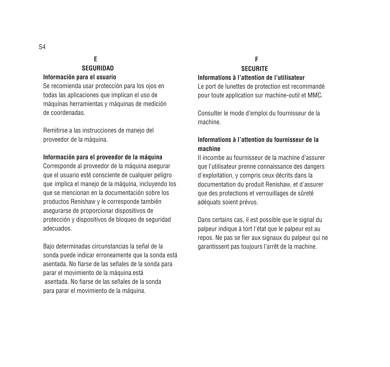# **E SEGURIDAD**

#### **Información para el usuario**

Se recomienda usar protección para los ojos en todas las aplicaciones que implican el uso de máquinas herramientas y máquinas de medición de coordenadas.

Remitirse a las instrucciones de manejo del proveedor de la máquina.

#### **Información para el proveedor de la máquina**

Corresponde al proveedor de la máquina asegurar que el usuario esté consciente de cualquier peligro que implica el manejo de la máquina, incluyendo los que se mencionan en la documentación sobre los productos Renishaw y le corresponde también asegurarse de proporcionar dispositivos de protección y dispositivos de bloqueo de seguridad adecuados.

Bajo determinadas circunstancias la señal de la sonda puede indicar erroneamente que la sonda está asentada. No fiarse de las señales de la sonda para parar el movimiento de la máquina.está asentada. No fiarse de las señales de la sonda para parar el movimiento de la máquina.

#### **F SECURITE**

#### **Informations à l'attention de l'utilisateur**

Le port de lunettes de protection est recommandé pour toute application sur machine-outil et MMC.

Consulter le mode d'emploi du fournisseur de la machine.

### **Informations à l'attention du fournisseur de la machine**

Il incombe au fournisseur de la machine d'assurer que l'utilisateur prenne connaissance des dangers d'exploitation, y compris ceux décrits dans la documentation du produit Renishaw, et d'assurer que des protections et verrouillages de sûreté adéquats soient prévus.

Dans certains cas, il est possible que le signal du palpeur indique à tort l'état que le palpeur est au repos. Ne pas se fier aux signaux du palpeur qui ne garantissent pas toujours l'arrêt de la machine.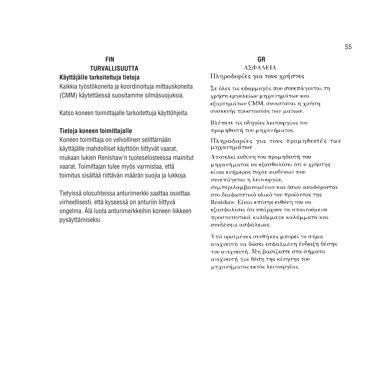#### **FIN**

#### **TURVALLISUUTTA Käyttäjälle tarkoitettuja tietoja**

Kaikkia työstökoneita ja koordinoituja mittauskoneita (CMM) käytettäessä suositamme silmäsuojuksia.

Katso koneen toimittajalle tarkoitettuja käyttöhjeita.

#### **Tietoja koneen toimittajalle**

Koneen toimittaja on velvollinen selittämään käyttäjälle mahdolliset käyttöön liittyvät vaarat, mukaan lukien Renishaw'n tuoteselosteessa mainitut vaarat. Toimittajan tulee myös varmistaa, että toimitus sisältää riittävän määrän suojia ja lukkoja.

Tietyissä olosuhteissa anturimerkki saattaa osoittaa virheellisesti, että kyseessä on anturiin liittyvä ongelma. Älä luota anturimerkkeihin koneen liikkeen pysäyttämiseksi.

# **GR**<br>**AΣΦΑΛΕΙΑ**

Πληροφορίες για τους χρήστες

Σε όλες τις εφαρμογές που συνεπάγονται τη χρήση εργαλείων μηχανημάτων και εξαρτημάτων CMM, συνιστάται η χρήση συσκευής προστασίας των ματιών.

Βλέπετε τις οδηγίες λειτουργίας του προμηθευτή του μηχανήματος.

Πληροφορίες για τους προμηθευτές των μηχανημάτων

Αποτελεί ευθύνη του προμηθευτή του μηχανήματος να εξασθαλίσει ότι ο χρήστης είναι ενήμερος τυχόν κινδύνων που συνεπάγεται η λειτουργία, συμπεριλαμβανομένων και όσων αναφέρονται στο διαφωτστικό υλικό του προϊόντος της Renishaw. Είναι επίσης ευθύνη του να εξασφαλίσει ότι υπάρχουν τα απαιτούμενα προστατευτικά καλύμματα καλύμματα και συνδέσεις ασφάλειας.

Υπό ορισμένες συνθήκες μπορεί το σήμα ανιχνευτή να δώσει εσφαλμένη ένδειξη θέσης του ανιχνευτή. Μη βασίζεστε στα σήματα ανιχνευτή για θέση της κίνησης του μηχανήματος εκτός λειτουργίας.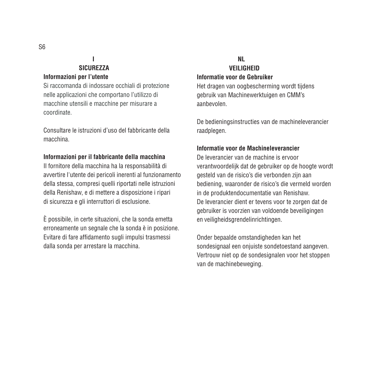## **I SICUREZZA**

#### **Informazioni per l'utente**

Si raccomanda di indossare occhiali di protezione nelle applicazioni che comportano l'utilizzo di macchine utensili e macchine per misurare a coordinate.

Consultare le istruzioni d'uso del fabbricante della macchina.

#### **Informazioni per il fabbricante della macchina**

Il fornitore della macchina ha la responsabilità di avvertire l'utente dei pericoli inerenti al funzionamento della stessa, compresi quelli riportati nelle istruzioni della Renishaw, e di mettere a disposizione i ripari di sicurezza e gli interruttori di esclusione.

È possibile, in certe situazioni, che la sonda emetta erroneamente un segnale che la sonda è in posizione. Evitare di fare affidamento sugli impulsi trasmessi dalla sonda per arrestare la macchina.

#### **NL VEILIGHEID Informatie voor de Gebruiker**

Het dragen van oogbescherming wordt tijdens gebruik van Machinewerktuigen en CMM's aanbevolen.

De bedieningsinstructies van de machineleverancier raadplegen.

#### **Informatie voor de Machineleverancier**

De leverancier van de machine is ervoor verantwoordelijk dat de gebruiker op de hoogte wordt gesteld van de risico's die verbonden zijn aan bediening, waaronder de risico's die vermeld worden in de produktendocumentatie van Renishaw. De leverancier dient er tevens voor te zorgen dat de gebruiker is voorzien van voldoende beveiligingen en veiligheidsgrendelinrichtingen.

Onder bepaalde omstandigheden kan het sondesignaal een onjuiste sondetoestand aangeven. Vertrouw niet op de sondesignalen voor het stoppen van de machinebeweging.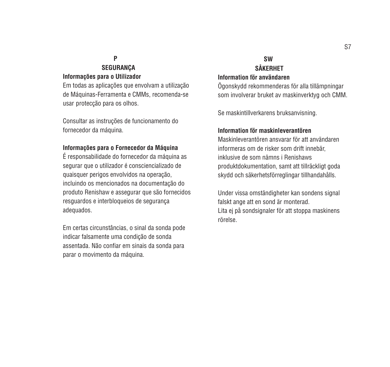# **P SEGURANÇA**

#### **Informações para o Utilizador**

Em todas as aplicações que envolvam a utilização de Máquinas-Ferramenta e CMMs, recomenda-se usar protecção para os olhos.

Consultar as instruções de funcionamento do fornecedor da máquina.

#### **Informações para o Fornecedor da Máquina**

É responsabilidade do fornecedor da máquina as segurar que o utilizador é consciencializado de quaisquer perigos envolvidos na operação, incluindo os mencionados na documentação do produto Renishaw e assegurar que são fornecidos resguardos e interbloqueios de segurança adequados.

Em certas circunstâncias, o sinal da sonda pode indicar falsamente uma condição de sonda assentada. Não confiar em sinais da sonda para parar o movimento da máquina.

## **SW SÅKERHET Information för användaren**

Ögonskydd rekommenderas för alla tillämpningar som involverar bruket av maskinverktyg och CMM.

Se maskintillverkarens bruksanvisning.

#### **Information för maskinleverantören**

Maskinleverantören ansvarar för att användaren informeras om de risker som drift innebär, inklusive de som nämns i Renishaws produktdokumentation, samt att tillräckligt goda skydd och säkerhetsförreglingar tillhandahålls.

Under vissa omständigheter kan sondens signal falskt ange att en sond är monterad. Lita ej på sondsignaler för att stoppa maskinens rörelse.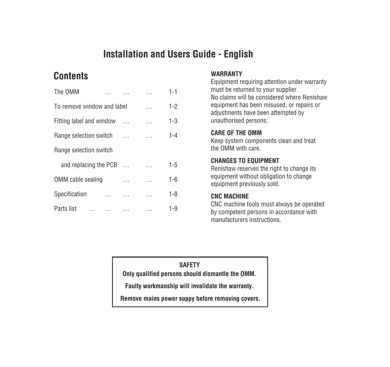# **Installation and Users Guide - English**

# **Contents**

| The OMM                    |          | $1 - 1$ |
|----------------------------|----------|---------|
| To remove window and label |          | $1-2$   |
| Fitting label and window   |          | $1 - 3$ |
| Range selection switch     | $\cdots$ | $1 - 4$ |
| Range selection switch     |          |         |
| and replacing the PCB      |          | $1-5$   |
| OMM cable sealing          |          | $1 - 6$ |
| Specification              |          | $1 - 8$ |
| Parts list                 |          | $1 - 9$ |

#### **WARRANTY**

Equipment requiring attention under warranty must be returned to your supplier. No claims will be considered where Renishaw equipment has been misused, or repairs or adjustments have been attempted by unauthorised persons.

#### **CARE OF THE OMM**

Keep system components clean and treat the OMM with care.

### **CHANGES TO EQUIPMENT**

Renishaw reserves the right to change its equipment without obligation to change equipment previously sold.

#### **CNC MACHINE**

CNC machine tools must always be operated by competent persons in accordance with manufacturers instructions.

## **SAFETY**

**Only qualified persons should dismantle the OMM.**

**Faulty workmanship will invalidate the warranty.**

 **Remove mains power suppy before removing covers.**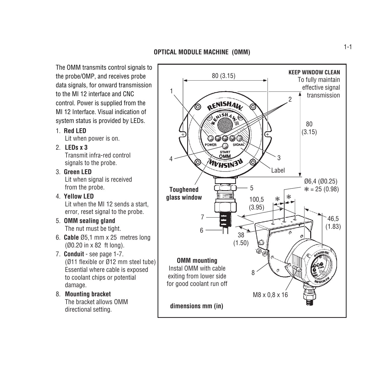The OMM transmits control signals to the probe/OMP, and receives probe data signals, for onward transmission to the MI 12 interface and CNC control. Power is supplied from the MI 12 Interface. Visual indication of system status is provided by LEDs.

1. **Red LED**

Lit when power is on.

2. **LEDs x 3**

Transmit infra-red control signals to the probe.

- 3. **Green LED** Lit when signal is received from the probe.
- 4. **Yellow LED** Lit when the MI 12 sends a start, error, reset signal to the probe.
- 5. **OMM sealing gland** The nut must be tight.
- 6. **Cable** Ø5,1 mm x 25 metres long (Ø0.20 in x 82 ft long).
- 7. **Conduit** see page 1-7. (Ø11 flexible or Ø12 mm steel tube) Essential where cable is exposed to coolant chips or potential damage.
- 8. **Mounting bracket** The bracket allows OMM directional setting.

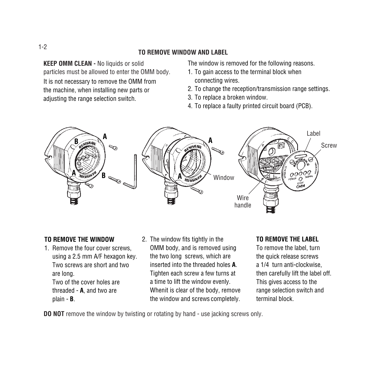#### **TO REMOVE WINDOW AND LABEL**

**KEEP OMM CLEAN -** No liquids or solid particles must be allowed to enter the OMM body. It is not necessary to remove the OMM from the machine, when installing new parts or adjusting the range selection switch.

The window is removed for the following reasons.

- 1. To gain access to the terminal block when connecting wires.
- 2. To change the reception/transmission range settings.
- 3. To replace a broken window.
- 4. To replace a faulty printed circuit board (PCB).



### **TO REMOVE THE WINDOW**

- 1. Remove the four cover screws, using a 2.5 mm A/F hexagon key. Two screws are short and two are long. Two of the cover holes are threaded - **A**, and two are plain - **B**.
- 2. The window fits tightly in the OMM body, and is removed using the two long screws, which are inserted into the threaded holes **A**. Tighten each screw a few turns at a time to lift the window evenly. Whenit is clear of the body, remove the window and screws completely.

### **TO REMOVE THE LABEL**

To remove the label, turn the quick release screws a 1/4 turn anti-clockwise, then carefully lift the label off. This gives access to the range selection switch and terminal block.

**DO NOT** remove the window by twisting or rotating by hand - use jacking screws only.

#### 1-2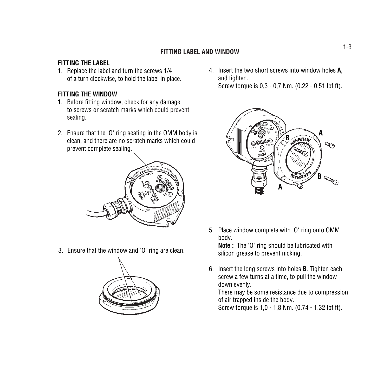# 1-3 **FITTING LABEL AND WINDOW**

#### **FITTING THE LABEL**

1. Replace the label and turn the screws 1/4 of a turn clockwise, to hold the label in place.

### **FITTING THE WINDOW**

- 1. Before fitting window, check for any damage to screws or scratch marks which could prevent sealing.
- 2. Ensure that the 'O' ring seating in the OMM body is clean, and there are no scratch marks which could prevent complete sealing.



3. Ensure that the window and 'O' ring are clean.



4. Insert the two short screws into window holes **A**, and tighten. Screw torque is 0,3 - 0,7 Nm. (0.22 - 0.51 lbf.ft).



5. Place window complete with 'O' ring onto OMM body.

**Note :** The 'O' ring should be lubricated with silicon grease to prevent nicking.

6. Insert the long screws into holes **B**. Tighten each screw a few turns at a time, to pull the window down evenly.

There may be some resistance due to compression of air trapped inside the body.

Screw torque is 1,0 - 1,8 Nm. (0.74 - 1.32 lbf.ft).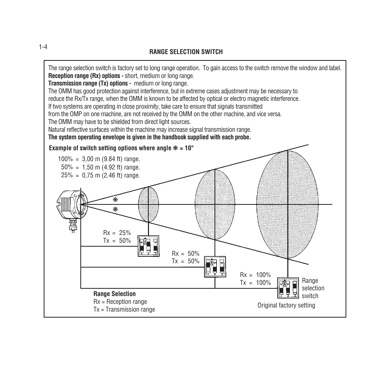#### **RANGE SELECTION SWITCH**



1-4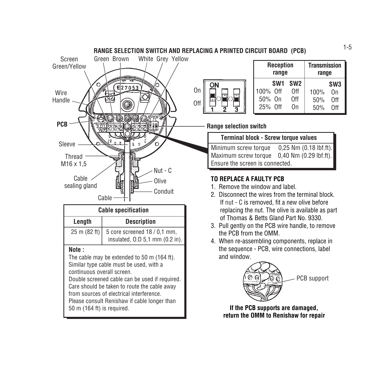

|                               | <b>Reception</b><br>range | <b>Transmission</b><br>range        |                    |                                     |
|-------------------------------|---------------------------|-------------------------------------|--------------------|-------------------------------------|
| 100% Off<br>50% On<br>25% Off | SW <sub>1</sub>           | SW <sub>2</sub><br>0ff<br>0ff<br>On | 100%<br>50%<br>50% | SW <sub>3</sub><br>Ωn<br>0ff<br>0ff |

**Range selection switch**

# **Terminal block - Screw torque values**

Minimum screw torque 0,25 Nm (0.18 lbf.ft). Maximum screw torque 0,40 Nm (0.29 lbf.ft). Ensure the screen is connected.

## **TO REPLACE A FAULTY PCB**

- 1. Remove the window and label.
- 2. Disconnect the wires from the terminal block. If nut - C is removed, fit a new olive before replacing the nut. The olive is available as part of Thomas & Betts Gland Part No. 9330.
- 3. Pull gently on the PCB wire handle, to remove the PCB from the OMM.
- 4. When re-assembling components, replace in the sequence - PCB, wire connections, label and window.



**If the PCB supports are damaged, return the OMM to Renishaw for repair**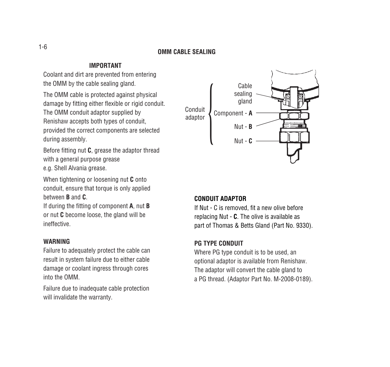# 1-6 **OMM CABLE SEALING**

#### **IMPORTANT**

Coolant and dirt are prevented from entering the OMM by the cable sealing gland.

The OMM cable is protected against physical damage by fitting either flexible or rigid conduit. The OMM conduit adaptor supplied by Renishaw accepts both types of conduit, provided the correct components are selected during assembly.

Before fitting nut **C**, grease the adaptor thread with a general purpose grease e.g. Shell Alvania grease.

When tightening or loosening nut **C** onto conduit, ensure that torque is only applied between **B** and **C**.

If during the fitting of component **A**, nut **B** or nut **C** become loose, the gland will be ineffective.

#### **WARNING**

Failure to adequately protect the cable can result in system failure due to either cable damage or coolant ingress through cores into the OMM.

Failure due to inadequate cable protection will invalidate the warranty.



#### **CONDUIT ADAPTOR**

If Nut - C is removed, fit a new olive before replacing Nut - **C**. The olive is available as part of Thomas & Betts Gland (Part No. 9330).

#### **PG TYPE CONDUIT**

Where PG type conduit is to be used, an optional adaptor is available from Renishaw. The adaptor will convert the cable gland to a PG thread. (Adaptor Part No. M-2008-0189).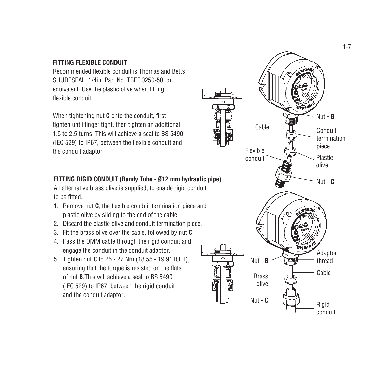#### **FITTING FLEXIBLE CONDUIT**

Recommended flexible conduit is Thomas and Betts SHURESEAL 1/4in Part No. TBEF 0250-50 or equivalent. Use the plastic olive when fitting flexible conduit.

When tightening nut **C** onto the conduit, first tighten until finger tight, then tighten an additional 1.5 to 2.5 turns. This will achieve a seal to BS 5490 (IEC 529) to IP67, between the flexible conduit and the conduit adaptor.

### **FITTING RIGID CONDUIT (Bundy Tube - Ø12 mm hydraulic pipe)**

An alternative brass olive is supplied, to enable rigid conduit to be fitted.

- 1. Remove nut **C**, the flexible conduit termination piece and plastic olive by sliding to the end of the cable.
- 2. Discard the plastic olive and conduit termination piece.
- 3. Fit the brass olive over the cable, followed by nut **C**.
- 4. Pass the OMM cable through the rigid conduit and engage the conduit in the conduit adaptor.
- 5. Tighten nut **C** to 25 27 Nm (18.55 19.91 lbf.ft), ensuring that the torque is resisted on the flats of nut **B**.This will achieve a seal to BS 5490 (IEC 529) to IP67, between the rigid conduit and the conduit adaptor.

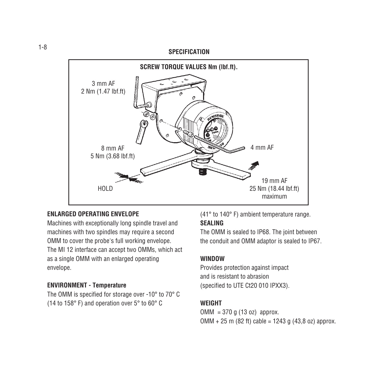#### **SPECIFICATION**



#### **ENLARGED OPERATING ENVELOPE**

Machines with exceptionally long spindle travel and machines with two spindles may require a second OMM to cover the probe's full working envelope. The MI 12 interface can accept two OMMs, which act as a single OMM with an enlarged operating envelope.

#### **ENVIRONMENT - Temperature**

The OMM is specified for storage over -10° to 70° C (14 to 158° F) and operation over 5° to 60° C

(41° to 140° F) ambient temperature range.

#### **SEALING**

The OMM is sealed to IP68. The joint between the conduit and OMM adaptor is sealed to IP67.

#### **WINDOW**

Provides protection against impact and is resistant to abrasion (specified to UTE Ct20 010 IPXX3).

#### **WEIGHT**

 $OMM = 370$  g (13 oz) approx.  $OMM + 25$  m (82 ft) cable = 1243 g (43,8 oz) approx.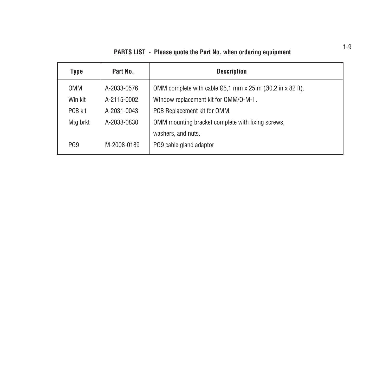| <b>PARTS LIST - Please quote the Part No. when ordering equipment</b> |  |  |  |  |  |
|-----------------------------------------------------------------------|--|--|--|--|--|
|-----------------------------------------------------------------------|--|--|--|--|--|

| Type            | Part No.    | <b>Description</b>                                                               |
|-----------------|-------------|----------------------------------------------------------------------------------|
| <b>OMM</b>      | A-2033-0576 | OMM complete with cable $\emptyset$ 5.1 mm x 25 m ( $\emptyset$ 0.2 in x 82 ft). |
| Win kit         | A-2115-0002 | WIndow replacement kit for OMM/O-M-I.                                            |
| PCB kit         | A-2031-0043 | PCB Replacement kit for OMM.                                                     |
| Mtg brkt        | A-2033-0830 | OMM mounting bracket complete with fixing screws,                                |
|                 |             | washers, and nuts.                                                               |
| PG <sub>9</sub> | M-2008-0189 | PG9 cable gland adaptor                                                          |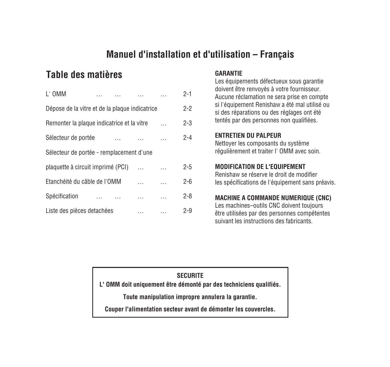# **Manuel d'installation et d'utilisation – Français**

# **Table des matières GARANTIE**

| L'OMM                                          |          |  | $2 - 1$ |
|------------------------------------------------|----------|--|---------|
| Dépose de la vitre et de la plaque indicatrice |          |  | $2 - 2$ |
| Remonter la plaque indicatrice et la vitre     |          |  | $2 - 3$ |
| Sélecteur de portée                            | $\ldots$ |  | $2 - 4$ |
| Sélecteur de portée - remplacement d'une       |          |  |         |
| plaquette à circuit imprimé (PCI)              |          |  | $2 - 5$ |
| Etanchéité du câble de l'OMM                   |          |  | $2 - 6$ |
| Spécification                                  |          |  | $2 - 8$ |
| Liste des pièces detachées                     |          |  | $2-9$   |

Les équipements défectueux sous garantie doivent être renvoyés à votre fournisseur. Aucune réclamation ne sera prise en compte si l'équipement Renishaw a été mal utilisé ou si des réparations ou des réglages ont été tentés par des personnes non qualifiées.

#### **ENTRETIEN DU PALPEUR**

Nettoyer les composants du système régulièrement et traiter l' OMM avec soin.

## **MODIFICATION DE L'EQUIPEMENT**

Renishaw se réserve le droit de modifier les spécifications de l'équipement sans préavis.

### **MACHINE A COMMANDE NUMERIQUE (CNC)**

Les machines–outils CNC doivent toujours être utilisées par des personnes compétentes suivant les instructions des fabricants.

### **SECURITE**

**L' OMM doit uniquement être démonté par des techniciens qualifiés.**

**Toute manipulation impropre annulera la garantie.**

**Couper l'alimentation secteur avant de démonter les couvercles.**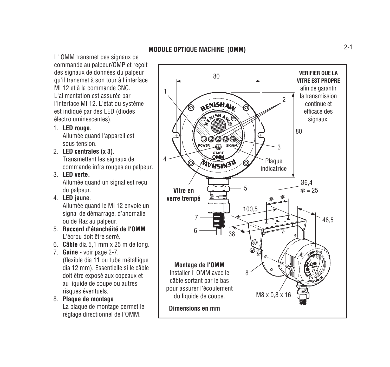L' OMM transmet des signaux de commande au palpeur/OMP et reçoit des signaux de données du palpeur qu'il transmet à son tour à l'interface MI 12 et à la commande CNC. L'alimentation est assurée par l'interface MI 12. L'état du système est indiqué par des LED (diodes électroluminescentes).

1. **LED rouge**.

Allumée quand l'appareil est sous tension.

- 2. **LED centrales (x 3)**. Transmettent les signaux de commande infra rouges au palpeur.
- 3. **LED verte.** Allumée quand un signal est reçu du palpeur.
- 4. **LED jaune**.

Allumée quand le MI 12 envoie un signal de démarrage, d'anomalie ou de Raz au palpeur.

- 5. **Raccord d'étanchéité de l'OMM** L'écrou doit être serré.
- 6. **Câble** dia 5,1 mm x 25 m de long.
- 7. **Gaine** voir page 2-7. (flexible dia 11 ou tube métallique dia 12 mm). Essentielle si le câble doit être exposé aux copeaux et au liquide de coupe ou autres risques éventuels.
- 8. **Plaque de montage** La plaque de montage permet le réglage directionnel de l'OMM.

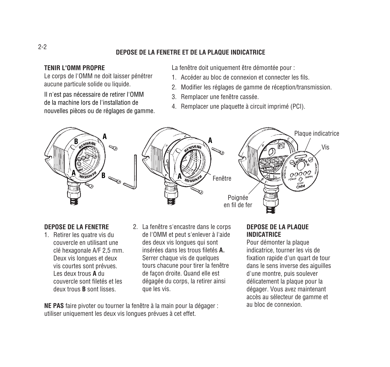### **DEPOSE DE LA FENETRE ET DE LA PLAQUE INDICATRICE**

#### **TENIR L'OMM PROPRE**

Le corps de l'OMM ne doit laisser pénétrer aucune particule solide ou liquide.

Il n'est pas nécessaire de retirer l'OMM de la machine lors de l'installation de nouvelles pièces ou de réglages de gamme.

- La fenêtre doit uniquement être démontée pour :
- 1. Accéder au bloc de connexion et connecter les fils.
- 2. Modifier les réglages de gamme de réception/transmission.
- 3. Remplacer une fenêtre cassée.
- 4. Remplacer une plaquette à circuit imprimé (PCI).



#### **DEPOSE DE LA FENETRE**

- 1. Retirer les quatre vis du couvercle en utilisant une clé hexagonale A/F 2,5 mm. Deux vis longues et deux vis courtes sont prévues. Les deux trous **A** du couvercle sont filetés et les deux trous **B** sont lisses.
- 2. La fenêtre s'encastre dans le corps de l'OMM et peut s'enlever à l'aide des deux vis longues qui sont insérées dans les trous filetés **A.** Serrer chaque vis de quelques tours chacune pour tirer la fenêtre de façon droite. Quand elle est dégagée du corps, la retirer ainsi que les vis.

**NE PAS** faire pivoter ou tourner la fenêtre à la main pour la dégager : utiliser uniquement les deux vis longues prévues à cet effet.

### **DEPOSE DE LA PLAQUE INDICATRICE**

Pour démonter la plaque indicatrice, tourner les vis de fixation rapide d'un quart de tour dans le sens inverse des aiguilles d'une montre, puis soulever délicatement la plaque pour la dégager. Vous avez maintenant accès au sélecteur de gamme et au bloc de connexion.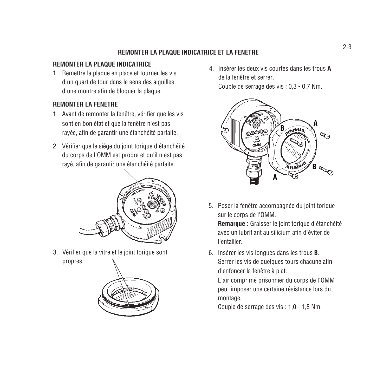### **REMONTER LA PLAQUE INDICATRICE ET LA FENETRE**

#### **REMONTER LA PLAQUE INDICATRICE**

1. Remettre la plaque en place et tourner les vis d'un quart de tour dans le sens des aiguilles d'une montre afin de bloquer la plaque.

#### **REMONTER LA FENETRE**

- 1. Avant de remonter la fenêtre, vérifier que les vis sont en bon état et que la fenêtre n'est pas rayée, afin de garantir une étanchéité parfaite.
- 2. Vérifier que le siège du joint torique d'étanchéité du corps de l'OMM est propre et qu'il n'est pas rayé, afin de garantir une étanchéité parfaite.



3. Vérifier que la vitre et le joint torique sont propres.



4. Insérer les deux vis courtes dans les trous **A** de la fenêtre et serrer. Couple de serrage des vis : 0,3 - 0,7 Nm.



5. Poser la fenêtre accompagnée du joint torique sur le corps de l'OMM.

**Remarque :** Graisser le joint torique d'étanchéité avec un lubrifiant au silicium afin d'éviter de l'entailler.

6. Insérer les vis longues dans les trous **B.** Serrer les vis de quelques tours chacune afin d'enfoncer la fenêtre à plat.

L'air comprimé prisonnier du corps de l'OMM peut imposer une certaine résistance lors du montage.

Couple de serrage des vis : 1,0 - 1,8 Nm.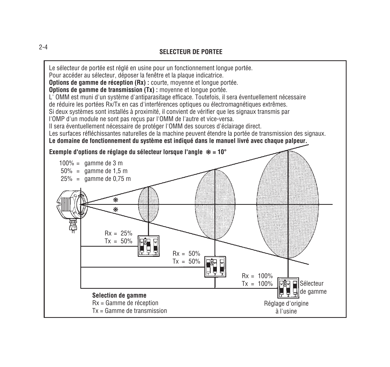# 2-4 **SELECTEUR DE PORTEE**

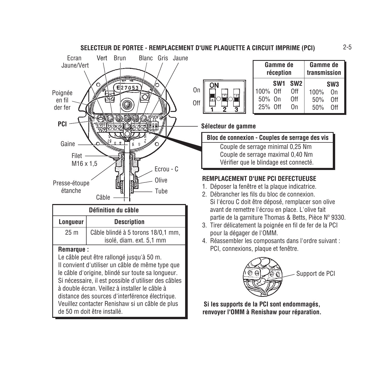

| Gamme de<br>réception         |                 |                                     | Gamme de<br>transmission |                                     |
|-------------------------------|-----------------|-------------------------------------|--------------------------|-------------------------------------|
| 100% Off<br>50% On<br>25% Off | SW <sub>1</sub> | SW <sub>2</sub><br>0ff<br>0ff<br>Ωn | 100%<br>50%<br>50%       | SW <sub>3</sub><br>Ωn<br>Off<br>0ff |

**Sélecteur de gamme**

| Bloc de connexion - Couples de serrage des vis |
|------------------------------------------------|
| Couple de serrage minimal 0.25 Nm              |

Couple de serrage maximal 0,40 Nm Vérifier que le blindage est connecté.

# **REMPLACEMENT D'UNE PCI DEFECTUEUSE**

- 1. Déposer la fenêtre et la plaque indicatrice.
- 2. Débrancher les fils du bloc de connexion. Si l'écrou C doit être déposé, remplacer son olive avant de remettre l'écrou en place. L'olive fait partie de la garniture Thomas & Betts, Pièce Nº 9330.
- 3. Tirer délicatement la poignée en fil de fer de la PCI pour la dégager de l'OMM.
- 4. Réassembler les composants dans l'ordre suivant : PCI, connexions, plaque et fenêtre.



**Si les supports de la PCI sont endommagés, renvoyer l'OMM à Renishaw pour réparation.**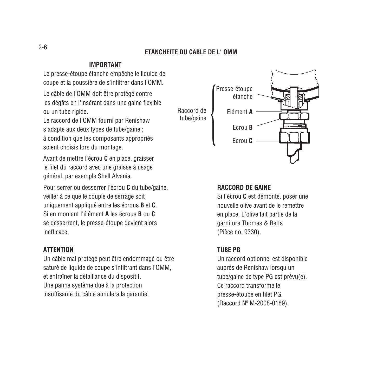#### **ETANCHEITE DU CABLE DE L' OMM**

#### **IMPORTANT**

Le presse-étoupe étanche empêche le liquide de coupe et la poussière de s'infiltrer dans l'OMM.

Le câble de l'OMM doit être protégé contre les dégâts en l'insérant dans une gaine flexible ou un tube rigide.

Le raccord de l'OMM fourni par Renishaw s'adapte aux deux types de tube/gaine ; à condition que les composants appropriés soient choisis lors du montage.

Avant de mettre l'écrou **C** en place, graisser le filet du raccord avec une graisse à usage général, par exemple Shell Alvania.

Pour serrer ou desserrer l'écrou **C** du tube/gaine, veiller à ce que le couple de serrage soit uniquement appliqué entre les écrous **B** et **C**. Si en montant l'élément **A** les écrous **B** ou **C** se desserrent, le presse-étoupe devient alors inefficace.

#### **ATTENTION**

Un câble mal protégé peut être endommagé ou être saturé de liquide de coupe s'infiltrant dans l'OMM, et entraîner la défaillance du dispositif. Une panne système due à la protection insuffisante du câble annulera la garantie.



#### **RACCORD DE GAINE**

Si l'écrou **C** est démonté, poser une nouvelle olive avant de le remettre en place. L'olive fait partie de la garniture Thomas & Betts (Pièce no. 9330).

#### **TUBE PG**

Un raccord optionnel est disponible auprès de Renishaw lorsqu'un tube/gaine de type PG est prévu(e). Ce raccord transforme le presse-étoupe en filet PG. (Raccord Nº M-2008-0189).

#### 2-6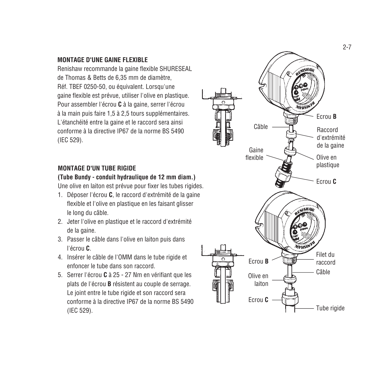#### **MONTAGE D'UNE GAINE FLEXIBLE**

Renishaw recommande la gaine flexible SHURESEAL de Thomas & Betts de 6,35 mm de diamètre, Réf. TBEF 0250-50, ou équivalent. Lorsqu'une gaine flexible est prévue, utiliser l'olive en plastique. Pour assembler l'écrou **C** à la gaine, serrer l'écrou à la main puis faire 1,5 à 2,5 tours supplémentaires. L'étanchéité entre la gaine et le raccord sera ainsi conforme à la directive IP67 de la norme BS 5490 (IEC 529).

#### **MONTAGE D'UN TUBE RIGIDE**

#### **(Tube Bundy - conduit hydraulique de 12 mm diam.)**

Une olive en laiton est prévue pour fixer les tubes rigides.

- 1. Déposer l'écrou **C**, le raccord d'extrémité de la gaine flexible et l'olive en plastique en les faisant glisser le long du câble.
- 2. Jeter l'olive en plastique et le raccord d'extrémité de la gaine.
- 3. Passer le câble dans l'olive en laiton puis dans l'écrou **C** .
- 4. Insérer le câble de l'OMM dans le tube rigide et enfoncer le tube dans son raccord.
- 5. Serrer l'écrou **C** à 25 27 Nm en vérifiant que les plats de l'écrou **B** résistent au couple de serrage. Le joint entre le tube rigide et son raccord sera conforme à la directive IP67 de la norme BS 5490 (IEC 529).

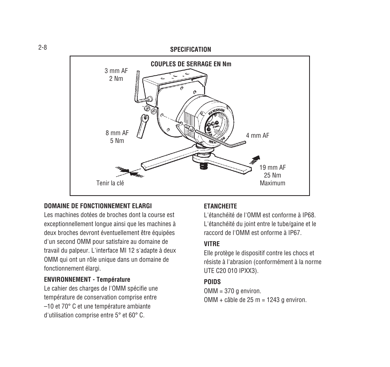#### **SPECIFICATION**



#### **DOMAINE DE FONCTIONNEMENT ELARGI**

Les machines dotées de broches dont la course est exceptionnellement longue ainsi que les machines à deux broches devront éventuellement être équipées d'un second OMM pour satisfaire au domaine de travail du palpeur. L'interface MI 12 s'adapte à deux OMM qui ont un rôle unique dans un domaine de fonctionnement élargi.

#### **ENVIRONNEMENT - Température**

Le cahier des charges de l'OMM spécifie une température de conservation comprise entre –10 et 70° C et une température ambiante d'utilisation comprise entre 5° et 60° C.

#### **ETANCHEITE**

L'étanchéité de l'OMM est conforme à IP68. L'étanchéité du joint entre le tube/gaine et le raccord de l'OMM est onforme à IP67.

#### **VITRE**

Elle protège le dispositif contre les chocs et résiste à l'abrasion (conformément à la norme UTE C20 010 IPXX3).

#### **POIDS**

OMM = 370 g environ. OMM + câble de 25 m = 1243 g environ.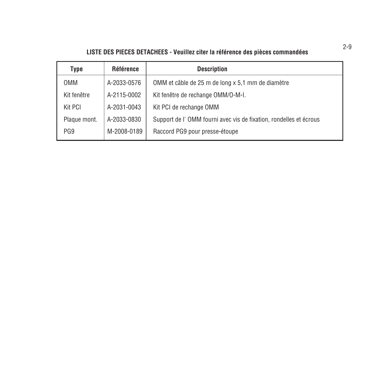# **LISTE DES PIECES DETACHEES - Veuillez citer la référence des pièces commandées**

| Type            | <b>Référence</b> | <b>Description</b>                                                |
|-----------------|------------------|-------------------------------------------------------------------|
| 0MM             | A-2033-0576      | OMM et câble de 25 m de long x 5.1 mm de diamètre                 |
| Kit fenêtre     | A-2115-0002      | Kit fenêtre de rechange OMM/O-M-I.                                |
| Kit PCI         | A-2031-0043      | Kit PCI de rechange OMM                                           |
| Plaque mont.    | A-2033-0830      | Support de l'OMM fourni avec vis de fixation, rondelles et écrous |
| PG <sub>9</sub> | M-2008-0189      | Raccord PG9 pour presse-étoupe                                    |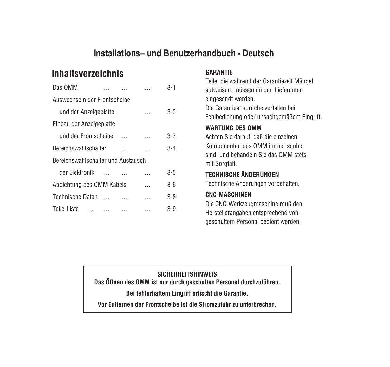# **Installations– und Benutzerhandbuch - Deutsch**

# **Inhaltsverzeichnis GARANTIE**

| Das OMM                            |                  |  | 3-1     |
|------------------------------------|------------------|--|---------|
| Auswechseln der Frontscheibe       |                  |  |         |
| und der Anzeigeplatte              |                  |  | 3-2     |
| Einbau der Anzeigeplatte           |                  |  |         |
| und der Frontscheibe               |                  |  | 3-3     |
| <b>Bereichswahlschalter</b>        | $3 - 4$          |  |         |
| Bereichswahlschalter und Austausch |                  |  |         |
| der Elektronik                     | $\sim$ 100 $\mu$ |  | $3 - 5$ |
| Abdichtung des OMM Kabels          |                  |  | 3-6     |
| <b>Technische Daten</b>            | $\sim$           |  | 3-8     |
| Teile-Liste                        |                  |  | 3-9     |

Teile, die während der Garantiezeit Mängel aufweisen, müssen an den Lieferanten eingesandt werden. Die Garantieansprüche verfallen bei Fehlbedienung oder unsachgemäßem Eingriff.

### **WARTUNG DES OMM**

Achten Sie darauf, daß die einzelnen Komponenten des OMM immer sauber sind, und behandeln Sie das OMM stets mit Sorgfalt.

# **TECHNISCHE ÄNDERUNGEN**

Technische Änderungen vorbehalten.

## **CNC-MASCHINEN**

Die CNC-Werkzeugmaschine muß den Herstellerangaben entsprechend von geschultem Personal bedient werden.

#### **SICHERHEITSHINWEIS**

**Das Öffnen des OMM ist nur durch geschultes Personal durchzuführen.**

**Bei fehlerhaftem Eingriff erlischt die Garantie.**

**Vor Entfernen der Frontscheibe ist die Stromzufuhr zu unterbrechen.**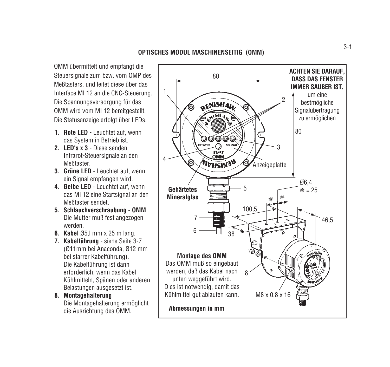OMM übermittelt und empfängt die Steuersignale zum bzw. vom OMP des Meßtasters, und leitet diese über das Interface MI 12 an die CNC-Steuerung. Die Spannungsversorgung für das OMM wird vom MI 12 bereitgestellt. Die Statusanzeige erfolgt über LEDs.

- **1. Rote LED**  Leuchtet auf, wenn das System in Betrieb ist.
- **2. LED's x 3**  Diese senden Infrarot-Steuersignale an den **Meßtaster**
- **3. Grüne LED** Leuchtet auf, wenn ein Signal empfangen wird.
- **4. Gelbe LED**  Leuchtet auf, wenn das MI 12 eine Startsignal an den Meßtaster sendet.
- **5. Schlauchverschraubung OMM** Die Mutter muß fest angezogen werden.
- **6. Kabel** Ø5,l mm x 25 m lang.
- **7. Kabelführung** siehe Seite 3-7 (Ø11mm bei Anaconda, Ø12 mm bei starrer Kabelführung). Die Kabelführung ist dann erforderlich, wenn das Kabel Kühlmitteln, Spänen oder anderen Belastungen ausgesetzt ist.
- **8. Montagehalterung** Die Montagehalterung ermöglicht die Ausrichtung des OMM.

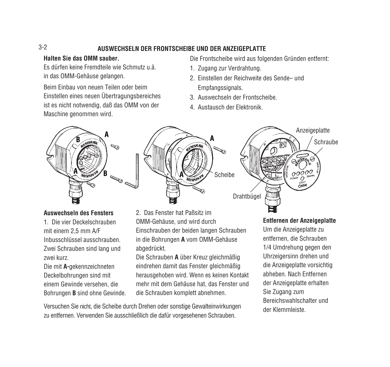# **AUSWECHSELN DER FRONTSCHEIBE UND DER ANZEIGEPLATTE**

#### **Halten Sie das OMM sauber.**

Es dürfen keine Fremdteile wie Schmutz u.ä. in das OMM-Gehäuse gelangen.

Beim Einbau von neuen Teilen oder beim Einstellen eines neuen Übertragungsbereiches ist es nicht notwendig, daß das OMM von der Maschine genommen wird.

Die Frontscheibe wird aus folgenden Gründen entfernt:

- 1. Zugang zur Verdrahtung.
- 2. Einstellen der Reichweite des Sende– und Empfangssignals.
- 3. Auswechseln der Frontscheibe.
- 4. Austausch der Elektronik.



#### **Auswechseln des Fensters**

1. Die vier Deckelschrauben mit einem 2,5 mm A/F Inbusschlüssel ausschrauben. Zwei Schrauben sind lang und zwei kurz. Die mit **A-**gekennzeichneten Deckelbohrungen sind mit einem Gewinde versehen, die Bohrungen **B** sind ohne Gewinde. 2. Das Fenster hat Paßsitz im OMM-Gehäuse, und wird durch Einschrauben der beiden langen Schrauben in die Bohrungen **A** vom OMM-Gehäuse abgedrückt.

Die Schrauben **A** über Kreuz gleichmäßig eindrehen damit das Fenster gleichmäßig herausgehoben wird. Wenn es keinen Kontakt mehr mit dem Gehäuse hat, das Fenster und die Schrauben komplett abnehmen.

Versuchen Sie nicht, die Scheibe durch Drehen oder sonstige Gewalteinwirkungen zu entfernen. Verwenden Sie ausschließlich die dafür vorgesehenen Schrauben.

# **<sup>A</sup> <sup>A</sup>** Drahtbügel **Scheibe Schraube** Anzeigeplatte

### **Entfernen der Anzeigeplatte**

Um die Anzeigeplatte zu entfernen, die Schrauben 1/4 Umdrehung gegen den Uhrzeigersinn drehen und die Anzeigeplatte vorsichtig abheben. Nach Entfernen der Anzeigeplatte erhalten Sie Zugang zum Bereichswahlschalter und der Klemmleiste.

3-2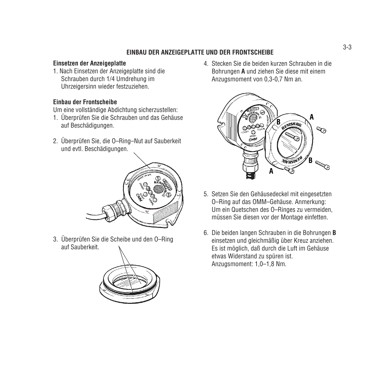#### **EINBAU DER ANZEIGEPLATTE UND DER FRONTSCHEIBE**

#### **Einsetzen der Anzeigeplatte**

1. Nach Einsetzen der Anzeigeplatte sind die Schrauben durch 1/4 Umdrehung im Uhrzeigersinn wieder festzuziehen.

#### **Einbau der Frontscheibe**

Um eine vollständige Abdichtung sicherzustellen:

- 1. Überprüfen Sie die Schrauben und das Gehäuse auf Beschädigungen.
- 2. Überprüfen Sie, die O–Ring–Nut auf Sauberkeit und evtl. Beschädigungen.



3. Überprüfen Sie die Scheibe und den O–Ring auf Sauberkeit.



4. Stecken Sie die beiden kurzen Schrauben in die Bohrungen **A** und ziehen Sie diese mit einem Anzugsmoment von 0,3-0,7 Nm an.



- 5. Setzen Sie den Gehäusedeckel mit eingesetzten O–Ring auf das OMM–Gehäuse. Anmerkung: Um ein Quetschen des O–Ringes zu vermeiden, müssen Sie diesen vor der Montage einfetten.
- 6. Die beiden langen Schrauben in die Bohrungen **B** einsetzen und gleichmäßig über Kreuz anziehen. Es ist möglich, daß durch die Luft im Gehäuse etwas Widerstand zu spüren ist. Anzugsmoment: 1,0–1,8 Nm.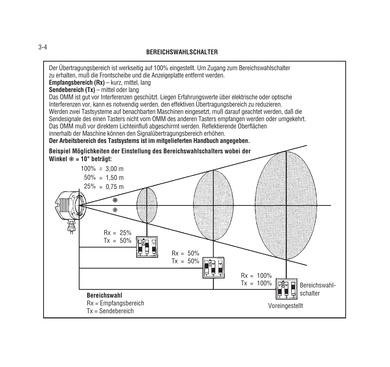

#### **BEREICHSWAHLSCHALTER**

3-4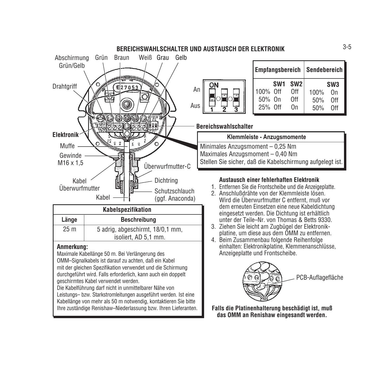

OMM–Signalkabels ist darauf zu achten, daß ein Kabel mit der gleichen Spezifikation verwendet und die Schirmung durchgeführt wird. Falls erforderlich, kann auch ein doppelt geschirmtes Kabel verwendet werden. Die Kabelführung darf nicht in unmittelbarer Nähe von

Leistungs– bzw. Starkstromleitungen ausgeführt werden. Ist eine Kabellänge von mehr als 50 m notwendig, kontaktieren Sie bitte Ihre zuständige Renishaw–Niederlassung bzw. Ihren Lieferanten.

|   |                               |  | Empfangsbereich   Sendebereich |                    |                                     |
|---|-------------------------------|--|--------------------------------|--------------------|-------------------------------------|
| m | 100% Off<br>50% On<br>25% Off |  | SW1 SW2<br>Off<br>0ff<br>Ωn    | 100%<br>50%<br>50% | SW <sub>3</sub><br>Ωn<br>0ff<br>∩ff |

#### **Bereichswahlschalter**

**Klemmleiste - Anzugsmomente** Minimales Anzugsmoment – 0,25 Nm Maximales Anzugsmoment – 0,40 Nm Stellen Sie sicher, daß die Kabelschirmung aufgelegt ist.

#### **Austausch einer fehlerhaften Elektronik**

- 1. Entfernen Sie die Frontscheibe und die Anzeigeplatte.
- 2. Anschlußdrähte von der Klemmleiste lösen. Wird die Überwurfmutter C entfernt, muß vor dem erneuten Einsetzen eine neue Kabeldichtung eingesetzt werden. Die Dichtung ist erhältlich unter der Teile–Nr. von Thomas & Betts 9330.
- 3. Ziehen Sie leicht am Zugbügel der Elektronikplatine, um diese aus dem OMM zu entfernen.
- 4. Beim Zusammenbau folgende Reihenfolge einhalten: Elektronikplatine, Klemmenanschlüsse, Anzeigeplatte und Frontscheibe.



**Falls die Platinenhalterung beschädigt ist, muß das OMM an Renishaw eingesandt werden.**

#### **BEREICHSWAHLSCHALTER UND AUSTAUSCH DER ELEKTRONIK**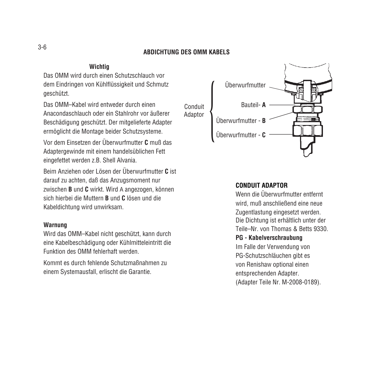#### **ABDICHTUNG DES OMM KABELS**

#### **Wichtig**

Das OMM wird durch einen Schutzschlauch vor dem Eindringen von Kühlflüssigkeit und Schmutz geschützt.

Das OMM–Kabel wird entweder durch einen Anacondaschlauch oder ein Stahlrohr vor äußerer Beschädigung geschützt. Der mitgelieferte Adapter ermöglicht die Montage beider Schutzsysteme.

Vor dem Einsetzen der Überwurfmutter **C** muß das Adaptergewinde mit einem handelsüblichen Fett eingefettet werden z.B. Shell Alvania.

Beim Anziehen oder Lösen der Überwurfmutter **C** ist darauf zu achten, daß das Anzugsmoment nur zwischen **B** und **C** wirkt. Wird A angezogen, können sich hierbei die Muttern **B** und **C** lösen und die Kabeldichtung wird unwirksam.

#### **Warnung**

Wird das OMM–Kabel nicht geschützt, kann durch eine Kabelbeschädigung oder Kühlmitteleintritt die Funktion des OMM fehlerhaft werden.

Kommt es durch fehlende Schutzmaßnahmen zu einem Systemausfall, erlischt die Garantie.



#### **CONDUIT ADAPTOR**

Wenn die Überwurfmutter entfernt wird, muß anschließend eine neue Zugentlastung eingesetzt werden. Die Dichtung ist erhältlich unter der Teile–Nr. von Thomas & Betts 9330.

#### **PG - Kabelverschraubung**

Im Falle der Verwendung von PG-Schutzschläuchen gibt es von Renishaw optional einen entsprechenden Adapter. (Adapter Teile Nr. M-2008-0189).

3-6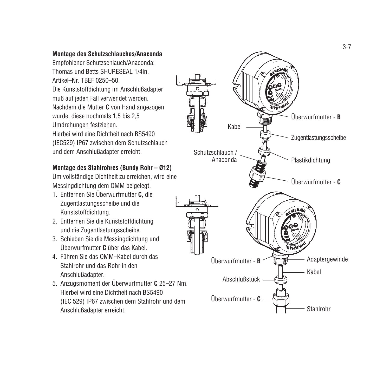#### **Montage des Schutzschlauches/Anaconda**

Empfohlener Schutzschlauch/Anaconda: Thomas und Betts SHURESEAL 1/4in, Artikel–Nr. TBEF 0250–50. Die Kunststoffdichtung im Anschlußadapter muß auf jeden Fall verwendet werden. Nachdem die Mutter **C** von Hand angezogen wurde, diese nochmals 1,5 bis 2,5 Umdrehungen festziehen. Hierbei wird eine Dichtheit nach BS5490 (IEC529) IP67 zwischen dem Schutzschlauch und dem Anschlußadapter erreicht.

#### **Montage des Stahlrohres (Bundy Rohr – Ø12)**

Um vollständige Dichtheit zu erreichen, wird eine Messingdichtung dem OMM beigelegt.

- 1. Entfernen Sie Überwurfmutter **C**, die Zugentlastungsscheibe und die Kunststoffdichtung.
- 2. Entfernen Sie die Kunststoffdichtung und die Zugentlastungsscheibe.
- 3. Schieben Sie die Messingdichtung und Überwurfmutter **C** über das Kabel.
- 4. Führen Sie das OMM–Kabel durch das Stahlrohr und das Rohr in den Anschlußadapter.
- 5. Anzugsmoment der Überwurfmutter **C** 25–27 Nm. Hierbei wird eine Dichtheit nach BS5490 (IEC 529) IP67 zwischen dem Stahlrohr und dem Anschlußadapter erreicht.

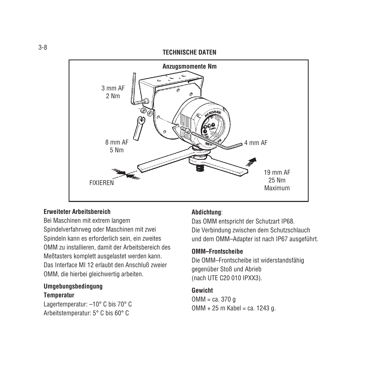#### **TECHNISCHE DATEN**



#### **Erweiteter Arbeitsbereich**

Bei Maschinen mit extrem langem Spindelverfahrweg oder Maschinen mit zwei Spindeln kann es erforderlich sein, ein zweites OMM zu installieren, damit der Arbeitsbereich des Meßtasters komplett ausgelastet werden kann. Das Interface MI 12 erlaubt den Anschluß zweier OMM, die hierbei gleichwertig arbeiten.

# **Umgebungsbedingung**

#### **Temperatur**

Lagertemperatur: –10° C bis 70° C Arbeitstemperatur: 5° C bis 60° C

#### **Abdichtung**:

Das OMM entspricht der Schutzart IP68. Die Verbindung zwischen dem Schutzschlauch und dem OMM–Adapter ist nach IP67 ausgeführt.

#### **OMM–Frontscheibe**

Die OMM–Frontscheibe ist widerstandsfähig gegenüber Stoß und Abrieb (nach UTE C20 010 IPXX3).

#### **Gewicht**

OMM = ca. 370 g  $OMM + 25$  m Kabel = ca. 1243 g.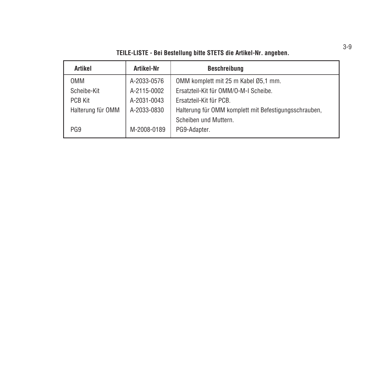| TEILE-LISTE - Bei Bestellung bitte STETS die Artikel-Nr. angeben. |             |                                                       |  |
|-------------------------------------------------------------------|-------------|-------------------------------------------------------|--|
| Artikel                                                           | Artikel-Nr  | <b>Beschreibung</b>                                   |  |
| <b>OMM</b>                                                        | A-2033-0576 | OMM komplett mit 25 m Kabel Ø5,1 mm.                  |  |
| Scheibe-Kit                                                       | A-2115-0002 | Ersatzteil-Kit für OMM/O-M-I Scheibe.                 |  |
| <b>PCB Kit</b>                                                    | A-2031-0043 | Ersatzteil-Kit für PCB.                               |  |
| Halterung für OMM                                                 | A-2033-0830 | Halterung für OMM komplett mit Befestigungsschrauben, |  |
|                                                                   |             | Scheiben und Muttern.                                 |  |
| PG <sub>9</sub>                                                   | M-2008-0189 | PG9-Adapter.                                          |  |

3-9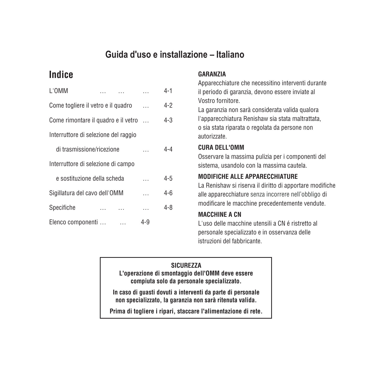# **Guida d'uso e installazione – Italiano**

|                                      | L'OMM                               |  |         |     | 4-1     |
|--------------------------------------|-------------------------------------|--|---------|-----|---------|
|                                      | Come togliere il vetro e il guadro  |  | $4-2$   |     |         |
|                                      | Come rimontare il quadro e il vetro |  | $4 - 3$ |     |         |
| Interruttore di selezione del raggio |                                     |  |         |     |         |
|                                      | di trasmissione/ricezione           |  |         |     | 4-4     |
| Interruttore di selezione di campo   |                                     |  |         |     |         |
|                                      | e sostituzione della scheda         |  |         |     | $4 - 5$ |
|                                      | Sigillatura del cavo dell'OMM       |  | 4-6     |     |         |
|                                      | Specifiche                          |  |         |     | 4-8     |
|                                      | Elenco componenti                   |  |         | 4-9 |         |
|                                      |                                     |  |         |     |         |

### **Indice GARANZIA**

Apparecchiature che necessitino interventi durante il periodo di garanzia, devono essere inviate al Vostro fornitore.

La garanzia non sarà considerata valida qualora l'apparecchiatura Renishaw sia stata maltrattata, o sia stata riparata o regolata da persone non autorizzate.

### **CURA DELL'OMM**

Osservare la massima pulizia per i componenti del sistema, usandolo con la massima cautela.

### **MODIFICHE ALLE APPARECCHIATURE**

La Renishaw si riserva il diritto di apportare modifiche alle apparecchiature senza incorrere nell'obbligo di modificare le macchine precedentemente vendute.

## **MACCHINE A CN**

L'uso delle macchine utensili a CN é ristretto al personale specializzato e in osservanza delle istruzioni del fabbricante.

# **SICUREZZA**

**L'operazione di smontaggio dell'OMM deve essere compiuta solo da personale specializzato.**

**In caso di guasti dovuti a interventi da parte di personale non specializzato, la garanzia non sarà ritenuta valida.**

**Prima di togliere i ripari, staccare l'alimentazione di rete.**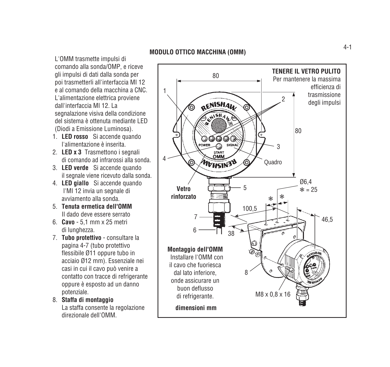L'OMM trasmette impulsi di comando alla sonda/OMP, e riceve gli impulsi di dati dalla sonda per poi trasmetterli all'interfaccia MI 12 e al comando della macchina a CNC. L'alimentazione elettrica proviene dall'interfaccia MI 12. La segnalazione visiva della condizione del sistema è ottenuta mediante LED (Diodi a Emissione Luminosa).

- 1. **LED rosso** Si accende quando l'alimentazione è inserita.
- 2. **LED x 3** Trasmettono i segnali di comando ad infrarossi alla sonda.
- 3. **LED verde** Si accende quando il segnale viene ricevuto dalla sonda.
- 4. **LED giallo** Si accende quando l'MI 12 invia un segnale di avviamento alla sonda.
- 5. **Tenuta ermetica dell'OMM** Il dado deve essere serrato
- 6. **Cavo** 5,1 mm x 25 metri di lunghezza.
- 7. **Tubo protettivo** consultare la pagina 4-7 (tubo protettivo flessibile Ø11 oppure tubo in acciaio Ø12 mm). Essenziale nei casi in cui il cavo può venire a contatto con tracce di refrigerante oppure è esposto ad un danno potenziale.
- 8. **Staffa di montaggio** La staffa consente la regolazione direzionale dell'OMM.

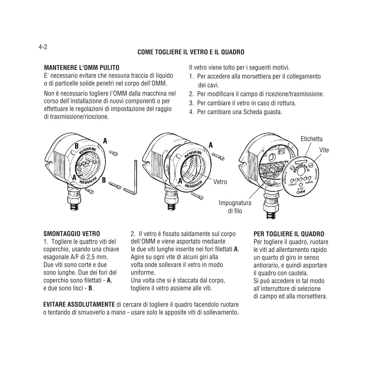### **COME TOGLIERE IL VETRO E IL QUADRO**

#### **MANTENERE L'OMM PULITO**

E' necessario evitare che nessuna traccia di liquido o di particelle solide penetri nel corpo dell'OMM.

Non è necessario togliere l'OMM dalla macchina nel corso dell'installazione di nuovi componenti o per effettuare le regolazioni di impostazione del raggio di trasmissione/ricezione.

Il vetro viene tolto per i seguenti motivi.

- 1. Per accedere alla morsettiera per il collegamento dei cavi.
- 2. Per modificare il campo di ricezione/trasmissione.
- 3. Per cambiare il vetro in caso di rottura.
- 4. Per cambiare una Scheda guasta.



#### **SMONTAGGIO VETRO**

1. Togliere le quattro viti del coperchio, usando una chiave esagonale A/F di 2,5 mm. Due viti sono corte e due sono lunghe. Due dei fori del coperchio sono filettati - **A**, e due sono lisci - **B**.

2. Il vetro é fissato saldamente sul corpo dell'OMM e viene asportato mediante le due viti lunghe inserite nei fori filettati **A**. Agire su ogni vite di alcuni giri alla volta onde sollevare il vetro in modo uniforme.

Una volta che si è staccata dal corpo, togliere il vetro assieme alle viti.

**EVITARE ASSOLUTAMENTE** di cercare di togliere il quadro facendolo ruotare o tentando di smuoverlo a mano - usare solo le apposite viti di sollevamento.

#### **PER TOGLIERE IL QUADRO**

Per togliere il quadro, ruotare le viti ad allentamento rapido un quarto di giro in senso antiorario, e quindi asportare il quadro con cautela. Si può accedere in tal modo all'interruttore di selezione di campo ed alla morsettiera.

### 4-2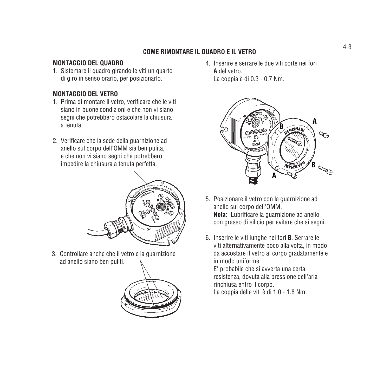# 4-3 **COME RIMONTARE IL QUADRO E IL VETRO**

### **MONTAGGIO DEL QUADRO**

1. Sistemare il quadro girando le viti un quarto di giro in senso orario, per posizionarlo.

### **MONTAGGIO DEL VETRO**

- 1. Prima di montare il vetro, verificare che le viti siano in buone condizioni e che non vi siano segni che potrebbero ostacolare la chiusura a tenuta.
- 2. Verificare che la sede della guarnizione ad anello sul corpo dell'OMM sia ben pulita, e che non vi siano segni che potrebbero impedire la chiusura a tenuta perfetta.



3. Controllare anche che il vetro e la guarnizione ad anello siano ben puliti.



4. Inserire e serrare le due viti corte nei fori **A** del vetro. La coppia è di 0.3 - 0.7 Nm.



- 5. Posizionare il vetro con la guarnizione ad anello sul corpo dell'OMM. **Nota:** Lubrificare la guarnizione ad anello con grasso di silicio per evitare che si segni.
- 6. Inserire le viti lunghe nei fori **B**. Serrare le viti alternativamente poco alla volta, in modo da accostare il vetro al corpo gradatamente e in modo uniforme.

E' probabile che si avverta una certa resistenza, dovuta alla pressione dell'aria rinchiusa entro il corpo. La coppia delle viti è di 1.0 - 1.8 Nm.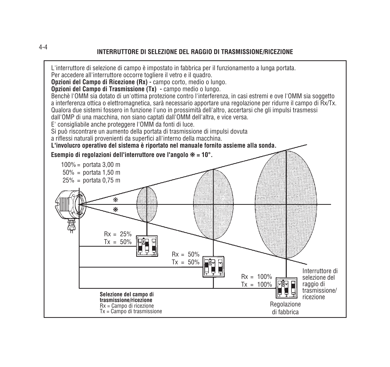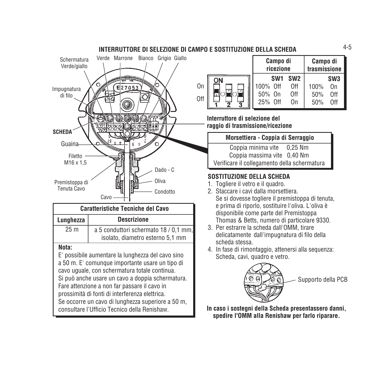

|     |         | Campo di<br>ricezione |                 | Campo di<br>trasmissione |                 |
|-----|---------|-----------------------|-----------------|--------------------------|-----------------|
|     | OΝ      | SW1                   | SW <sub>2</sub> |                          | SW <sub>3</sub> |
| On  |         | 100% Off              | 0ff             | 100%                     | Ωn              |
|     | li a II | 50% On                | 0ff             | 50%                      | 0ff             |
| 0ff |         | $25%$ Off             | On              | 50%                      | 0ff             |

**Interruttore di selezione del raggio di trasmissione/ricezione**

**INTERRUTTORE DI SELEZIONE DI CAMPO E SOSTITUZIONE DELLA SCHEDA**

#### **Morsettiera - Coppia di Serraggio**

Coppia minima vite 0,25 Nm Coppia massima vite 0,40 Nm Verificare il collegamento della schermatura

### **SOSTITUZIONE DELLA SCHEDA**

- 1. Togliere il vetro e il quadro.
- 2. Staccare i cavi dalla morsettiera. Se si dovesse togliere il premistoppa di tenuta, e prima di riporlo, sostituire l'oliva. L'oliva è disponibile come parte del Premistoppa Thomas & Betts, numero di particolare 9330.
- 3. Per estrarre la scheda dall'OMM, tirare delicatamente dall'impugnatura di filo della scheda stessa.
- 4. In fase di rimontaggio, attenersi alla sequenza: Scheda, cavi, quadro e vetro.



**In caso i sostegni della Scheda presentassero danni, spedire l'OMM alla Renishaw per farlo riparare.**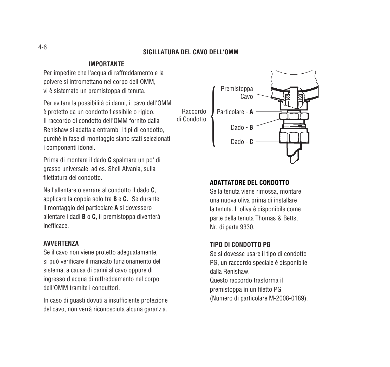#### **SIGILLATURA DEL CAVO DELL'OMM**

#### **IMPORTANTE**

Per impedire che l'acqua di raffreddamento e la polvere si intromettano nel corpo dell'OMM, vi è sistemato un premistoppa di tenuta.

Per evitare la possibilità di danni, il cavo dell'OMM è protetto da un condotto flessibile o rigido. Il raccordo di condotto dell'OMM fornito dalla Renishaw si adatta a entrambi i tipi di condotto, purchè in fase di montaggio siano stati selezionati i componenti idonei.

Prima di montare il dado **C** spalmare un po' di grasso universale, ad es. Shell Alvania, sulla filettatura del condotto.

Nell'allentare o serrare al condotto il dado **C**, applicare la coppia solo tra **B** e **C.** Se durante il montaggio del particolare **A** si dovessero allentare i dadi **B** o **C**, il premistoppa diventerà inefficace.

#### **AVVERTENZA**

Se il cavo non viene protetto adeguatamente, si può verificare il mancato funzionamento del sistema, a causa di danni al cavo oppure di ingresso d'acqua di raffreddamento nel corpo dell'OMM tramite i conduttori.

In caso di guasti dovuti a insufficiente protezione del cavo, non verrà riconosciuta alcuna garanzia.



#### **ADATTATORE DEL CONDOTTO**

Se la tenuta viene rimossa, montare una nuova oliva prima di installare la tenuta. L'oliva è disponibile come parte della tenuta Thomas & Betts, Nr. di parte 9330.

#### **TIPO DI CONDOTTO PG**

Se si dovesse usare il tipo di condotto PG, un raccordo speciale è disponibile dalla Renishaw. Questo raccordo trasforma il premistoppa in un filetto PG (Numero di particolare M-2008-0189).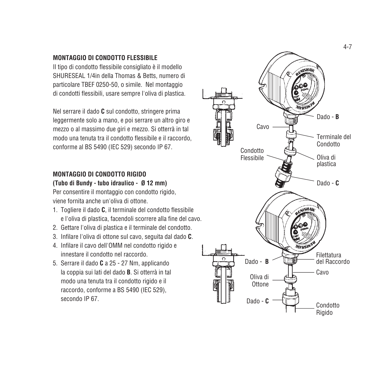#### **MONTAGGIO DI CONDOTTO FLESSIBILE**

Il tipo di condotto flessibile consigliato è il modello SHURESEAL 1/4in della Thomas & Betts, numero di particolare TBEF 0250-50, o simile. Nel montaggio di condotti flessibili, usare sempre l'oliva di plastica.

Nel serrare il dado **C** sul condotto, stringere prima leggermente solo a mano, e poi serrare un altro giro e mezzo o al massimo due giri e mezzo. Si otterrà in tal modo una tenuta tra il condotto flessibile e il raccordo, conforme al BS 5490 (IEC 529) secondo IP 67.

#### **MONTAGGIO DI CONDOTTO RIGIDO**

**(Tubo di Bundy - tubo idraulico - Ø 12 mm)** Per consentire il montaggio con condotto rigido, viene fornita anche un'oliva di ottone.

- 1. Togliere il dado **C**, il terminale del condotto flessibile e l'oliva di plastica, facendoli scorrere alla fine del cavo.
- 2. Gettare l'oliva di plastica e il terminale del condotto.
- 3. Infilare l'oliva di ottone sul cavo, seguita dal dado **C** .
- 4. Infilare il cavo dell'OMM nel condotto rigido e innestare il condotto nel raccordo.
- 5. Serrare il dado **C** a 25 27 Nm, applicando la coppia sui lati del dado **B**. Si otterrà in tal modo una tenuta tra il condotto rigido e il raccordo, conforme a BS 5490 (IEC 529), secondo IP 67.

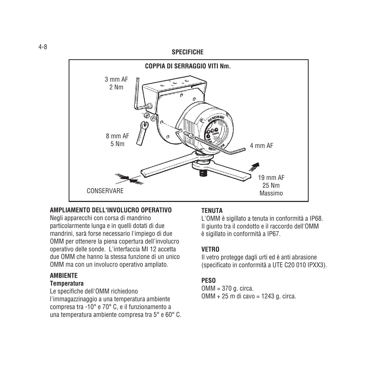#### **SPECIFICHE**



#### **AMPLIAMENTO DELL'INVOLUCRO OPERATIVO**

Negli apparecchi con corsa di mandrino particolarmente lunga e in quelli dotati di due mandrini, sarà forse necessario l'impiego di due OMM per ottenere la piena copertura dell'involucro operativo delle sonde. L'interfaccia MI 12 accetta due OMM che hanno la stessa funzione di un unico OMM ma con un involucro operativo ampliato.

#### **AMBIENTE**

#### **Temperatura**

Le specifiche dell'OMM richiedono l'immagazzinaggio a una temperatura ambiente compresa tra -10° e 70° C, e il funzionamento a una temperatura ambiente compresa tra 5° e 60° C.

#### **TENUTA**

L'OMM è sigillato a tenuta in conformità a IP68. Il giunto tra il condotto e il raccordo dell'OMM è sigillato in conformità a IP67.

### **VETRO**

Il vetro protegge dagli urti ed è anti abrasione (specificato in conformità a UTE C20 010 IPXX3).

### **PESO**

OMM = 370 g. circa. OMM + 25 m di cavo = 1243 g. circa.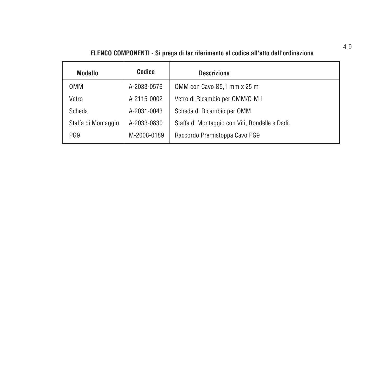# **ELENCO COMPONENTI - Si prega di far riferimento al codice all'atto dell'ordinazione**

| Modello             | Codice      | <b>Descrizione</b>                             |
|---------------------|-------------|------------------------------------------------|
| <b>OMM</b>          | A-2033-0576 | OMM con Cavo Ø5,1 mm x 25 m                    |
| Vetro               | A-2115-0002 | Vetro di Ricambio per OMM/O-M-I                |
| Scheda              | A-2031-0043 | Scheda di Ricambio per OMM                     |
| Staffa di Montaggio | A-2033-0830 | Staffa di Montaggio con Viti, Rondelle e Dadi. |
| PG <sub>9</sub>     | M-2008-0189 | Raccordo Premistoppa Cavo PG9                  |